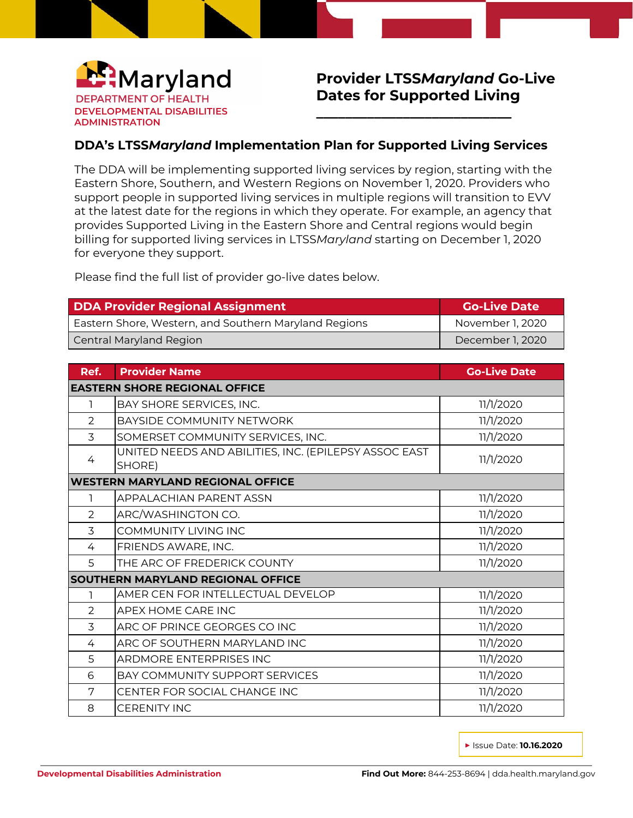

## **Provider LTSS***Maryland* **Go-Live Dates for Supported Living**

**\_\_\_\_\_\_\_\_\_\_\_\_\_\_\_\_\_\_\_\_\_\_\_\_\_\_\_**

## **DDA's LTSS***Maryland* **Implementation Plan for Supported Living Services**

The DDA will be implementing supported living services by region, starting with the Eastern Shore, Southern, and Western Regions on November 1, 2020. Providers who support people in supported living services in multiple regions will transition to EVV at the latest date for the regions in which they operate. For example, an agency that provides Supported Living in the Eastern Shore and Central regions would begin billing for supported living services in LTSS*Maryland* starting on December 1, 2020 for everyone they support.

Please find the full list of provider go-live dates below.

| <b>DDA Provider Regional Assignment</b>               | <b>Go-Live Date</b> |
|-------------------------------------------------------|---------------------|
| Eastern Shore, Western, and Southern Maryland Regions | November 1, 2020    |
| <b>Central Maryland Region</b>                        | December 1, 2020    |

| Ref.                                     | <b>Provider Name</b>                                            | <b>Go-Live Date</b> |  |  |
|------------------------------------------|-----------------------------------------------------------------|---------------------|--|--|
| <b>EASTERN SHORE REGIONAL OFFICE</b>     |                                                                 |                     |  |  |
| 1                                        | BAY SHORE SERVICES, INC.                                        | 11/1/2020           |  |  |
| 2                                        | BAYSIDE COMMUNITY NETWORK                                       | 11/1/2020           |  |  |
| $\overline{3}$                           | SOMERSET COMMUNITY SERVICES, INC.                               | 11/1/2020           |  |  |
| 4                                        | UNITED NEEDS AND ABILITIES, INC. (EPILEPSY ASSOC EAST<br>SHORE) | 11/1/2020           |  |  |
| <b>WESTERN MARYLAND REGIONAL OFFICE</b>  |                                                                 |                     |  |  |
| ı                                        | APPALACHIAN PARENT ASSN                                         | 11/1/2020           |  |  |
| 2                                        | ARC/WASHINGTON CO.                                              | 11/1/2020           |  |  |
| 3                                        | COMMUNITY LIVING INC                                            | 11/1/2020           |  |  |
| $\overline{4}$                           | FRIENDS AWARE, INC.                                             | 11/1/2020           |  |  |
| 5                                        | THE ARC OF FREDERICK COUNTY                                     | 11/1/2020           |  |  |
| <b>SOUTHERN MARYLAND REGIONAL OFFICE</b> |                                                                 |                     |  |  |
|                                          | AMER CEN FOR INTELLECTUAL DEVELOP                               | 11/1/2020           |  |  |
| 2                                        | APEX HOME CARE INC                                              | 11/1/2020           |  |  |
| 3                                        | ARC OF PRINCE GEORGES CO INC                                    | 11/1/2020           |  |  |
| 4                                        | ARC OF SOUTHERN MARYLAND INC                                    | 11/1/2020           |  |  |
| 5                                        | ARDMORE ENTERPRISES INC                                         | 11/1/2020           |  |  |
| 6                                        | <b>BAY COMMUNITY SUPPORT SERVICES</b>                           | 11/1/2020           |  |  |
| 7                                        | CENTER FOR SOCIAL CHANGE INC                                    | 11/1/2020           |  |  |
| 8                                        | <b>CERENITY INC</b>                                             | 11/1/2020           |  |  |

**▶** Issue Date: **10.16.2020**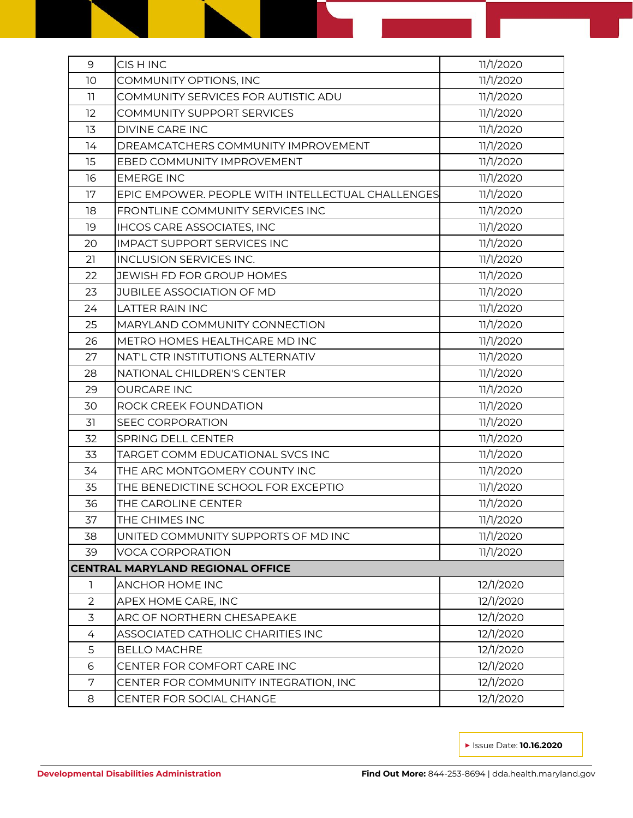| 9                                       | CIS H INC                                         | 11/1/2020 |  |  |
|-----------------------------------------|---------------------------------------------------|-----------|--|--|
| 10                                      | COMMUNITY OPTIONS, INC                            | 11/1/2020 |  |  |
| 11                                      | COMMUNITY SERVICES FOR AUTISTIC ADU               | 11/1/2020 |  |  |
| 12                                      | COMMUNITY SUPPORT SERVICES                        | 11/1/2020 |  |  |
| 13                                      | <b>DIVINE CARE INC</b>                            | 11/1/2020 |  |  |
| 14                                      | DREAMCATCHERS COMMUNITY IMPROVEMENT               | 11/1/2020 |  |  |
| 15                                      | EBED COMMUNITY IMPROVEMENT                        | 11/1/2020 |  |  |
| 16                                      | <b>EMERGE INC</b>                                 | 11/1/2020 |  |  |
| 17                                      | EPIC EMPOWER. PEOPLE WITH INTELLECTUAL CHALLENGES | 11/1/2020 |  |  |
| 18                                      | FRONTLINE COMMUNITY SERVICES INC                  | 11/1/2020 |  |  |
| 19                                      | <b>IHCOS CARE ASSOCIATES, INC</b>                 | 11/1/2020 |  |  |
| 20                                      | <b>IMPACT SUPPORT SERVICES INC</b>                | 11/1/2020 |  |  |
| 21                                      | <b>INCLUSION SERVICES INC.</b>                    | 11/1/2020 |  |  |
| 22                                      | JEWISH FD FOR GROUP HOMES                         | 11/1/2020 |  |  |
| 23                                      | JUBILEE ASSOCIATION OF MD                         | 11/1/2020 |  |  |
| 24                                      | <b>LATTER RAIN INC</b>                            | 11/1/2020 |  |  |
| 25                                      | MARYLAND COMMUNITY CONNECTION                     | 11/1/2020 |  |  |
| 26                                      | METRO HOMES HEALTHCARE MD INC                     | 11/1/2020 |  |  |
| 27                                      | NAT'L CTR INSTITUTIONS ALTERNATIV                 | 11/1/2020 |  |  |
| 28                                      | NATIONAL CHILDREN'S CENTER                        | 11/1/2020 |  |  |
| 29                                      | <b>OURCARE INC</b>                                | 11/1/2020 |  |  |
| 30                                      | ROCK CREEK FOUNDATION                             | 11/1/2020 |  |  |
| 31                                      | <b>SEEC CORPORATION</b>                           | 11/1/2020 |  |  |
| 32                                      | SPRING DELL CENTER                                | 11/1/2020 |  |  |
| 33                                      | TARGET COMM EDUCATIONAL SVCS INC                  | 11/1/2020 |  |  |
| 34                                      | THE ARC MONTGOMERY COUNTY INC                     | 11/1/2020 |  |  |
| 35                                      | THE BENEDICTINE SCHOOL FOR EXCEPTIO               | 11/1/2020 |  |  |
| 36                                      | THE CAROLINE CENTER                               | 11/1/2020 |  |  |
| 37                                      | THE CHIMES INC                                    | 11/1/2020 |  |  |
| 38                                      | UNITED COMMUNITY SUPPORTS OF MD INC               | 11/1/2020 |  |  |
| 39                                      | <b>VOCA CORPORATION</b>                           | 11/1/2020 |  |  |
| <b>CENTRAL MARYLAND REGIONAL OFFICE</b> |                                                   |           |  |  |
| 1                                       | ANCHOR HOME INC                                   | 12/1/2020 |  |  |
| 2                                       | APEX HOME CARE, INC                               | 12/1/2020 |  |  |
| $\overline{3}$                          | ARC OF NORTHERN CHESAPEAKE                        | 12/1/2020 |  |  |
| 4                                       | ASSOCIATED CATHOLIC CHARITIES INC                 | 12/1/2020 |  |  |
| 5                                       | <b>BELLO MACHRE</b>                               | 12/1/2020 |  |  |
| 6                                       | CENTER FOR COMFORT CARE INC                       | 12/1/2020 |  |  |
| 7                                       | CENTER FOR COMMUNITY INTEGRATION, INC             | 12/1/2020 |  |  |
| 8                                       | CENTER FOR SOCIAL CHANGE                          | 12/1/2020 |  |  |

**▶** Issue Date: **10.16.2020**